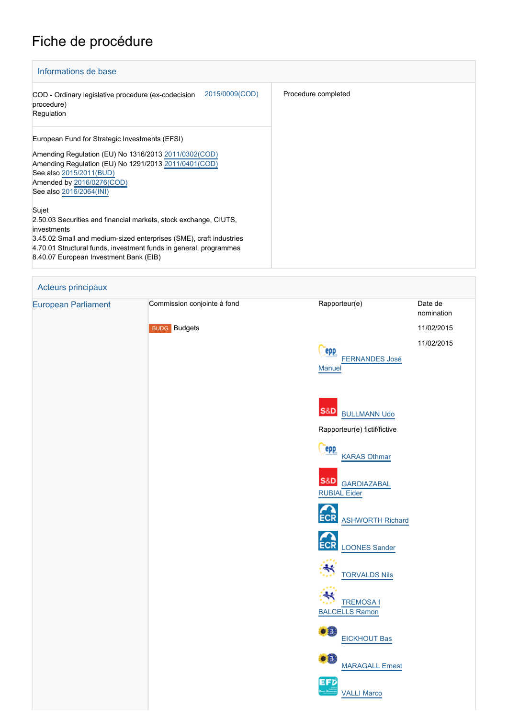## Fiche de procédure

| Informations de base                                                                                                                                                                                                                                                          |                     |  |  |  |
|-------------------------------------------------------------------------------------------------------------------------------------------------------------------------------------------------------------------------------------------------------------------------------|---------------------|--|--|--|
| 2015/0009(COD)<br>COD - Ordinary legislative procedure (ex-codecision<br>procedure)<br>Regulation                                                                                                                                                                             | Procedure completed |  |  |  |
| European Fund for Strategic Investments (EFSI)<br>Amending Regulation (EU) No 1316/2013 2011/0302(COD)<br>Amending Regulation (EU) No 1291/2013 2011/0401 (COD)<br>See also 2015/2011(BUD)<br>Amended by 2016/0276(COD)<br>See also 2016/2064(INI)                            |                     |  |  |  |
| Sujet<br>2.50.03 Securities and financial markets, stock exchange, CIUTS,<br>investments<br>3.45.02 Small and medium-sized enterprises (SME), craft industries<br>4.70.01 Structural funds, investment funds in general, programmes<br>8.40.07 European Investment Bank (EIB) |                     |  |  |  |

| Acteurs principaux         |                                                    |                                                                                                                             |                                                   |
|----------------------------|----------------------------------------------------|-----------------------------------------------------------------------------------------------------------------------------|---------------------------------------------------|
| <b>European Parliament</b> | Commission conjointe à fond<br><b>BUDG</b> Budgets | Rapporteur(e)<br><b>epp</b><br><b>FERNANDES José</b><br>Manuel                                                              | Date de<br>nomination<br>11/02/2015<br>11/02/2015 |
|                            |                                                    | S&D BULLMANN Udo<br>Rapporteur(e) fictif/fictive<br><b>PPP</b>                                                              |                                                   |
|                            |                                                    | <b>KARAS Othmar</b><br><b>S&amp;D</b><br><b>GARDIAZABAL</b><br><b>RUBIAL Eider</b><br><b>ECR</b><br><b>ASHWORTH Richard</b> |                                                   |
|                            |                                                    | <b>ECR</b><br><b>LOONES Sander</b><br><b>TORVALDS Nils</b><br>₩<br><b>TREMOSA I</b>                                         |                                                   |
|                            |                                                    | <b>BALCELLS Ramon</b><br>$\bullet$ <sup>0</sup><br><b>EICKHOUT Bas</b><br>$\bullet$<br><b>MARAGALL Ernest</b>               |                                                   |
|                            |                                                    | EFD<br><b>VALLI Marco</b>                                                                                                   |                                                   |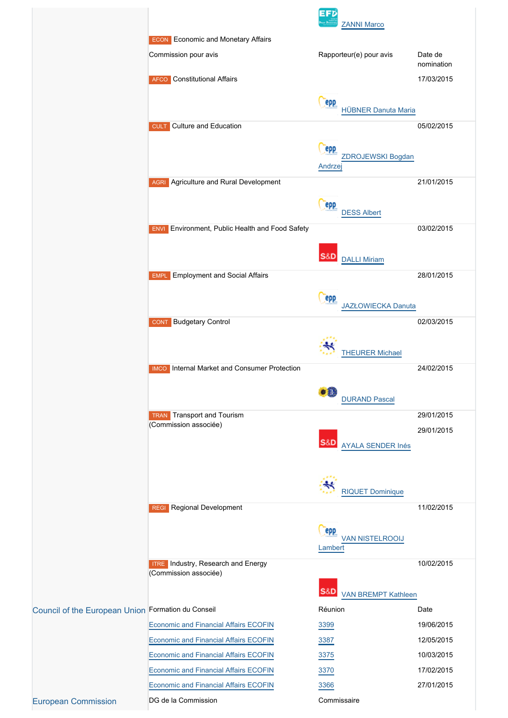|                                                    |                                                               | EFD<br><b>ZANNI Marco</b>                  |                       |
|----------------------------------------------------|---------------------------------------------------------------|--------------------------------------------|-----------------------|
|                                                    | <b>ECON</b> Economic and Monetary Affairs                     |                                            |                       |
|                                                    | Commission pour avis                                          | Rapporteur(e) pour avis                    | Date de<br>nomination |
|                                                    | <b>AFCO</b> Constitutional Affairs                            |                                            | 17/03/2015            |
|                                                    |                                                               | epp<br><b>HÜBNER Danuta Maria</b>          |                       |
|                                                    | Culture and Education<br><b>CULT</b>                          |                                            | 05/02/2015            |
|                                                    |                                                               | epp                                        |                       |
|                                                    |                                                               | ZDROJEWSKI Bogdan<br>Andrzej               |                       |
|                                                    | <b>AGRI</b> Agriculture and Rural Development                 |                                            | 21/01/2015            |
|                                                    |                                                               | epp<br><b>DESS Albert</b>                  |                       |
|                                                    | Environment, Public Health and Food Safety<br><b>ENVI</b>     |                                            | 03/02/2015            |
|                                                    |                                                               | S&D<br><b>DALLI Miriam</b>                 |                       |
|                                                    | <b>Employment and Social Affairs</b><br><b>EMPL</b>           |                                            | 28/01/2015            |
|                                                    |                                                               |                                            |                       |
|                                                    |                                                               | epp<br>JAZŁOWIECKA Danuta                  |                       |
|                                                    | <b>Budgetary Control</b><br><b>CONT</b>                       |                                            | 02/03/2015            |
|                                                    |                                                               | <b>THEURER Michael</b>                     |                       |
|                                                    | Internal Market and Consumer Protection<br><b>IMCO</b>        |                                            | 24/02/2015            |
|                                                    |                                                               |                                            |                       |
|                                                    |                                                               | <b>o®</b><br><b>DURAND Pascal</b>          |                       |
|                                                    | Transport and Tourism<br><b>TRAN</b><br>(Commission associée) |                                            | 29/01/2015            |
|                                                    |                                                               |                                            | 29/01/2015            |
|                                                    |                                                               | <b>S&amp;D</b><br><b>AYALA SENDER Inés</b> |                       |
|                                                    |                                                               |                                            |                       |
|                                                    |                                                               | <b>RIQUET Dominique</b>                    |                       |
|                                                    | <b>REGI</b> Regional Development                              |                                            | 11/02/2015            |
|                                                    |                                                               | epp                                        |                       |
|                                                    |                                                               | <b>VAN NISTELROOIJ</b><br>Lambert          |                       |
|                                                    | <b>ITRE</b> Industry, Research and Energy                     |                                            | 10/02/2015            |
|                                                    | (Commission associée)                                         |                                            |                       |
|                                                    |                                                               | S&D<br><b>VAN BREMPT Kathleen</b>          |                       |
| Council of the European Union Formation du Conseil |                                                               | Réunion                                    | Date                  |
|                                                    | <b>Economic and Financial Affairs ECOFIN</b>                  | 3399                                       | 19/06/2015            |
|                                                    | <b>Economic and Financial Affairs ECOFIN</b>                  | 3387                                       | 12/05/2015            |
|                                                    | <b>Economic and Financial Affairs ECOFIN</b>                  | 3375                                       | 10/03/2015            |
|                                                    | <b>Economic and Financial Affairs ECOFIN</b>                  | 3370                                       | 17/02/2015            |
|                                                    | <b>Economic and Financial Affairs ECOFIN</b>                  | 3366                                       | 27/01/2015            |
| <b>European Commission</b>                         | DG de la Commission                                           | Commissaire                                |                       |